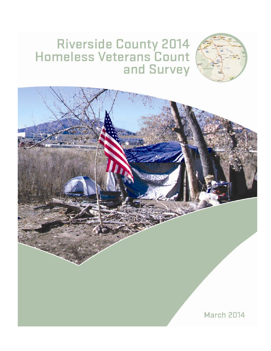# Riverside County 2014<br>Homeless Veterans Count and Survey

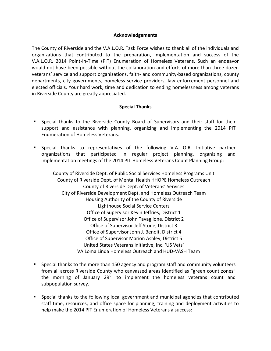#### **Acknowledgements**

The County of Riverside and the V.A.L.O.R. Task Force wishes to thank all of the individuals and organizations that contributed to the preparation, implementation and success of the V.A.L.O.R. 2014 Point-In-Time (PIT) Enumeration of Homeless Veterans. Such an endeavor would not have been possible without the collaboration and efforts of more than three dozen veterans' service and support organizations, faith- and community-based organizations, county departments, city governments, homeless service providers, law enforcement personnel and elected officials. Your hard work, time and dedication to ending homelessness among veterans in Riverside County are greatly appreciated.

#### **Special Thanks**

- Special thanks to the Riverside County Board of Supervisors and their staff for their support and assistance with planning, organizing and implementing the 2014 PIT Enumeration of Homeless Veterans.
- Special thanks to representatives of the following V.A.L.O.R. Initiative partner organizations that participated in regular project planning, organizing and implementation meetings of the 2014 PIT Homeless Veterans Count Planning Group:

County of Riverside Dept. of Public Social Services Homeless Programs Unit County of Riverside Dept. of Mental Health HHOPE Homeless Outreach County of Riverside Dept. of Veterans' Services City of Riverside Development Dept. and Homeless Outreach Team Housing Authority of the County of Riverside Lighthouse Social Service Centers Office of Supervisor Kevin Jeffries, District 1 Office of Supervisor John Tavaglione, District 2 Office of Supervisor Jeff Stone, District 3 Office of Supervisor John J. Benoit, District 4 Office of Supervisor Marion Ashley, District 5 United States Veterans Initiative, Inc. 'US Vets' VA Loma Linda Homeless Outreach and HUD-VASH Team

- Special thanks to the more than 150 agency and program staff and community volunteers from all across Riverside County who canvassed areas identified as "green count zones" the morning of January  $29<sup>th</sup>$  to implement the homeless veterans count and subpopulation survey.
- Special thanks to the following local government and municipal agencies that contributed staff time, resources, and office space for planning, training and deployment activities to help make the 2014 PIT Enumeration of Homeless Veterans a success: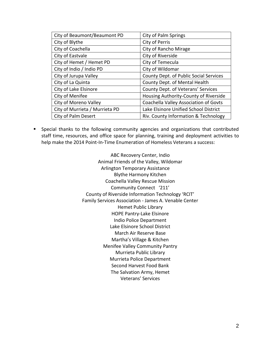| City of Beaumont/Beaumont PD   | <b>City of Palm Springs</b>            |
|--------------------------------|----------------------------------------|
| City of Blythe                 | City of Perris                         |
| City of Coachella              | City of Rancho Mirage                  |
| City of Eastvale               | City of Riverside                      |
| City of Hemet / Hemet PD       | City of Temecula                       |
| City of Indio / Indio PD       | City of Wildomar                       |
| City of Jurupa Valley          | County Dept. of Public Social Services |
| City of La Quinta              | County Dept. of Mental Health          |
| City of Lake Elsinore          | County Dept. of Veterans' Services     |
| City of Menifee                | Housing Authority-County of Riverside  |
| City of Moreno Valley          | Coachella Valley Association of Govts  |
| City of Murrieta / Murrieta PD | Lake Elsinore Unified School District  |
| <b>City of Palm Desert</b>     | Riv. County Information & Technology   |

 Special thanks to the following community agencies and organizations that contributed staff time, resources, and office space for planning, training and deployment activities to help make the 2014 Point-In-Time Enumeration of Homeless Veterans a success:

> ABC Recovery Center, Indio Animal Friends of the Valley, Wildomar Arlington Temporary Assistance Blythe Harmony Kitchen Coachella Valley Rescue Mission Community Connect '211' County of Riverside Information Technology 'RCIT' Family Services Association - James A. Venable Center Hemet Public Library HOPE Pantry-Lake Elsinore Indio Police Department Lake Elsinore School District March Air Reserve Base Martha's Village & Kitchen Menifee Valley Community Pantry Murrieta Public Library Murrieta Police Department Second Harvest Food Bank The Salvation Army, Hemet Veterans' Services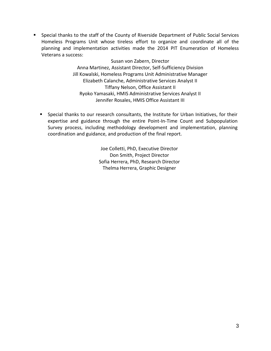Special thanks to the staff of the County of Riverside Department of Public Social Services Homeless Programs Unit whose tireless effort to organize and coordinate all of the planning and implementation activities made the 2014 PIT Enumeration of Homeless Veterans a success:

> Susan von Zabern, Director Anna Martinez, Assistant Director, Self-Sufficiency Division Jill Kowalski, Homeless Programs Unit Administrative Manager Elizabeth Calanche, Administrative Services Analyst II Tiffany Nelson, Office Assistant II Ryoko Yamasaki, HMIS Administrative Services Analyst II Jennifer Rosales, HMIS Office Assistant III

 Special thanks to our research consultants, the Institute for Urban Initiatives, for their expertise and guidance through the entire Point-In-Time Count and Subpopulation Survey process, including methodology development and implementation, planning coordination and guidance, and production of the final report.

> Joe Colletti, PhD, Executive Director Don Smith, Project Director Sofia Herrera, PhD, Research Director Thelma Herrera, Graphic Designer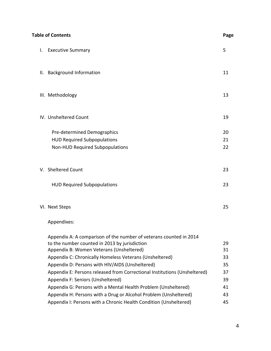|    | <b>Table of Contents</b>                                                                                                                                                                                                                                                                                                                                                                                                                                          | Page                                   |
|----|-------------------------------------------------------------------------------------------------------------------------------------------------------------------------------------------------------------------------------------------------------------------------------------------------------------------------------------------------------------------------------------------------------------------------------------------------------------------|----------------------------------------|
| I. | <b>Executive Summary</b>                                                                                                                                                                                                                                                                                                                                                                                                                                          | 5                                      |
| Ш. | <b>Background Information</b>                                                                                                                                                                                                                                                                                                                                                                                                                                     | 11                                     |
|    | III. Methodology                                                                                                                                                                                                                                                                                                                                                                                                                                                  | 13                                     |
|    | IV. Unsheltered Count                                                                                                                                                                                                                                                                                                                                                                                                                                             | 19                                     |
|    | Pre-determined Demographics<br><b>HUD Required Subpopulations</b><br>Non-HUD Required Subpopulations                                                                                                                                                                                                                                                                                                                                                              | 20<br>21<br>22                         |
|    | V. Sheltered Count                                                                                                                                                                                                                                                                                                                                                                                                                                                | 23                                     |
|    | <b>HUD Required Subpopulations</b>                                                                                                                                                                                                                                                                                                                                                                                                                                | 23                                     |
|    | VI. Next Steps                                                                                                                                                                                                                                                                                                                                                                                                                                                    | 25                                     |
|    | Appendixes:                                                                                                                                                                                                                                                                                                                                                                                                                                                       |                                        |
|    | Appendix A: A comparison of the number of veterans counted in 2014<br>to the number counted in 2013 by jurisdiction<br>Appendix B: Women Veterans (Unsheltered)<br>Appendix C: Chronically Homeless Veterans (Unsheltered)<br>Appendix D: Persons with HIV/AIDS (Unsheltered)<br>Appendix E: Persons released from Correctional Institutions (Unsheltered)<br>Appendix F: Seniors (Unsheltered)<br>Appendix G: Persons with a Mental Health Problem (Unsheltered) | 29<br>31<br>33<br>35<br>37<br>39<br>41 |
|    | Appendix H: Persons with a Drug or Alcohol Problem (Unsheltered)<br>Appendix I: Persons with a Chronic Health Condition (Unsheltered)                                                                                                                                                                                                                                                                                                                             | 43<br>45                               |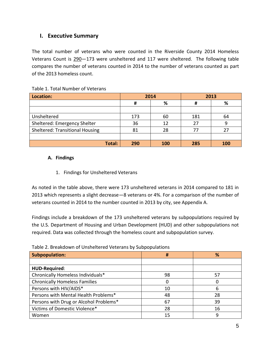# **I. Executive Summary**

The total number of veterans who were counted in the Riverside County 2014 Homeless Veterans Count is 290—173 were unsheltered and 117 were sheltered. The following table compares the number of veterans counted in 2014 to the number of veterans counted as part of the 2013 homeless count.

| Location:                              | 2014 |     | 2013 |            |
|----------------------------------------|------|-----|------|------------|
|                                        | #    | %   | #    | %          |
|                                        |      |     |      |            |
| Unsheltered                            | 173  | 60  | 181  | 64         |
| Sheltered: Emergency Shelter           | 36   | 12  | 27   |            |
| <b>Sheltered: Transitional Housing</b> | 81   | 28  | 77   | 27         |
|                                        |      |     |      |            |
| Total:                                 | 290  | 100 | 285  | <b>100</b> |

#### Table 1. Total Number of Veterans

## **A. Findings**

1. Findings for Unsheltered Veterans

As noted in the table above, there were 173 unsheltered veterans in 2014 compared to 181 in 2013 which represents a slight decrease—8 veterans or 4%. For a comparison of the number of veterans counted in 2014 to the number counted in 2013 by city, see Appendix A.

Findings include a breakdown of the 173 unsheltered veterans by subpopulations required by the U.S. Department of Housing and Urban Development (HUD) and other subpopulations not required. Data was collected through the homeless count and subpopulation survey.

| Table 2. Di candowll of Offshchen edictatis by Subpopulations |    |    |  |  |  |
|---------------------------------------------------------------|----|----|--|--|--|
| Subpopulation:                                                | #  | %  |  |  |  |
|                                                               |    |    |  |  |  |
| HUD-Required:                                                 |    |    |  |  |  |
| Chronically Homeless Individuals*                             | 98 | 57 |  |  |  |
| <b>Chronically Homeless Families</b>                          | 0  | O  |  |  |  |
| Persons with HIV/AIDS*                                        | 10 | 6  |  |  |  |
| Persons with Mental Health Problems*                          | 48 | 28 |  |  |  |
| Persons with Drug or Alcohol Problems*                        | 67 | 39 |  |  |  |
| Victims of Domestic Violence*                                 | 28 | 16 |  |  |  |
| Women                                                         | 15 | 9  |  |  |  |

#### Table 2. Breakdown of Unsheltered Veterans by Subpopulations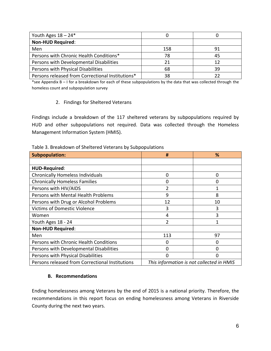| Youth Ages $18 - 24*$                            |     |    |
|--------------------------------------------------|-----|----|
| <b>Non-HUD Required:</b>                         |     |    |
| Men                                              | 158 | 91 |
| Persons with Chronic Health Conditions*          | 78  | 45 |
| Persons with Developmental Disabilities          | 21  | 12 |
| Persons with Physical Disabilities               | 68  | 39 |
| Persons released from Correctional Institutions* | 38  | フフ |

\*see Appendix B – I for a breakdown for each of these subpopulations by the data that was collected through the homeless count and subpopulation survey

## 2. Findings for Sheltered Veterans

Findings include a breakdown of the 117 sheltered veterans by subpopulations required by HUD and other subpopulations not required. Data was collected through the Homeless Management Information System (HMIS).

Table 3. Breakdown of Sheltered Veterans by Subpopulations

| <b>Subpopulation:</b>                           | #                                         | %  |  |
|-------------------------------------------------|-------------------------------------------|----|--|
|                                                 |                                           |    |  |
| <b>HUD-Required:</b>                            |                                           |    |  |
| <b>Chronically Homeless Individuals</b>         | 0                                         | 0  |  |
| <b>Chronically Homeless Families</b>            | 0                                         | 0  |  |
| Persons with HIV/AIDS                           | $\overline{2}$                            | 1  |  |
| Persons with Mental Health Problems             | 9                                         | 8  |  |
| Persons with Drug or Alcohol Problems           | 12                                        | 10 |  |
| <b>Victims of Domestic Violence</b>             | 3                                         | 3  |  |
| Women                                           | 4                                         | 3  |  |
| Youth Ages 18 - 24                              | 2                                         | 1  |  |
| <b>Non-HUD Required:</b>                        |                                           |    |  |
| Men                                             | 113                                       | 97 |  |
| Persons with Chronic Health Conditions          | 0                                         | 0  |  |
| Persons with Developmental Disabilities         | 0                                         | 0  |  |
| Persons with Physical Disabilities              | $\Omega$                                  | N  |  |
| Persons released from Correctional Institutions | This information is not collected in HMIS |    |  |

## **B. Recommendations**

Ending homelessness among Veterans by the end of 2015 is a national priority. Therefore, the recommendations in this report focus on ending homelessness among Veterans in Riverside County during the next two years.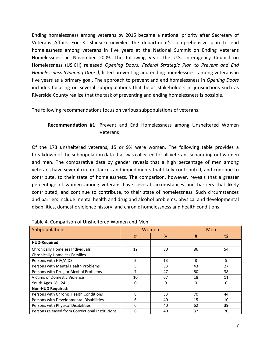Ending homelessness among veterans by 2015 became a national priority after Secretary of Veterans Affairs Eric K. Shinseki unveiled the department's comprehensive plan to end homelessness among veterans in five years at the National Summit on Ending Veterans Homelessness in November 2009. The following year, the U.S. Interagency Council on Homelessness (USICH) released *Opening Doors: Federal Strategic Plan to Prevent and End Homelessness (Opening Doors),* listed preventing and ending homelessness among veterans in five years as a primary goal. The approach to prevent and end homelessness in *Opening Doors* includes focusing on several subpopulations that helps stakeholders in jurisdictions such as Riverside County realize that the task of preventing and ending homelessness is possible.

The following recommendations focus on various subpopulations of veterans.

# **Recommendation #1**: Prevent and End Homelessness among Unsheltered Women Veterans

Of the 173 unsheltered veterans, 15 or 9% were women. The following table provides a breakdown of the subpopulation data that was collected for all veterans separating out women and men. The comparative data by gender reveals that a high percentage of men among veterans have several circumstances and impediments that likely contributed, and continue to contribute, to their state of homelessness. The comparison, however, reveals that a greater percentage of women among veterans have several circumstances and barriers that likely contributed, and continue to contribute, to their state of homelessness. Such circumstances and barriers include mental health and drug and alcohol problems, physical and developmental disabilities, domestic violence history, and chronic homelessness and health conditions.

| Subpopulations:                                 |                          | Women    | Men |    |
|-------------------------------------------------|--------------------------|----------|-----|----|
|                                                 | #                        | %        | #   | %  |
| HUD-Required:                                   |                          |          |     |    |
| <b>Chronically Homeless Individuals</b>         | 12                       | 80       | 86  | 54 |
| <b>Chronically Homeless Families</b>            |                          |          |     |    |
| Persons with HIV/AIDS                           | $\overline{\phantom{a}}$ | 13       | 8   | 5  |
| Persons with Mental Health Problems             | 5                        | 33       | 43  | 27 |
| Persons with Drug or Alcohol Problems           |                          | 47       | 60  | 38 |
| <b>Victims of Domestic Violence</b>             | 10                       | 67       | 18  | 11 |
| Youth Ages 18 - 24                              | $\Omega$                 | $\Omega$ | 0   | 0  |
| <b>Non-HUD Required:</b>                        |                          |          |     |    |
| Persons with Chronic Health Conditions          | 8                        | 53       | 70  | 44 |
| Persons with Developmental Disabilities         | 6                        | 40       | 15  | 10 |
| Persons with Physical Disabilities              | 6                        | 40       | 62  | 39 |
| Persons released from Correctional Institutions | 6                        | 40       | 32  | 20 |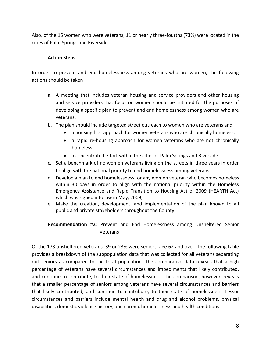Also, of the 15 women who were veterans, 11 or nearly three-fourths (73%) were located in the cities of Palm Springs and Riverside.

## **Action Steps**

In order to prevent and end homelessness among veterans who are women, the following actions should be taken

- a. A meeting that includes veteran housing and service providers and other housing and service providers that focus on women should be initiated for the purposes of developing a specific plan to prevent and end homelessness among women who are veterans;
- b. The plan should include targeted street outreach to women who are veterans and
	- a housing first approach for women veterans who are chronically homeless;
	- a rapid re-housing approach for women veterans who are not chronically homeless;
	- a concentrated effort within the cities of Palm Springs and Riverside.
- c. Set a benchmark of no women veterans living on the streets in three years in order to align with the national priority to end homelessness among veterans;
- d. Develop a plan to end homelessness for any women veteran who becomes homeless within 30 days in order to align with the national priority within the Homeless Emergency Assistance and Rapid Transition to Housing Act of 2009 (HEARTH Act) which was signed into law in May, 2009;
- e. Make the creation, development, and implementation of the plan known to all public and private stakeholders throughout the County.

# **Recommendation #2**: Prevent and End Homelessness among Unsheltered Senior Veterans

Of the 173 unsheltered veterans, 39 or 23% were seniors, age 62 and over. The following table provides a breakdown of the subpopulation data that was collected for all veterans separating out seniors as compared to the total population. The comparative data reveals that a high percentage of veterans have several circumstances and impediments that likely contributed, and continue to contribute, to their state of homelessness. The comparison, however, reveals that a smaller percentage of seniors among veterans have several circumstances and barriers that likely contributed, and continue to contribute, to their state of homelessness. Lessor circumstances and barriers include mental health and drug and alcohol problems, physical disabilities, domestic violence history, and chronic homelessness and health conditions.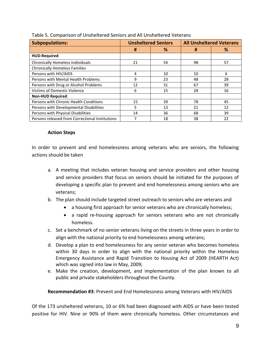| <b>Subpopulations:</b>                          | <b>Unsheltered Seniors</b> |    | <b>All Unsheltered Veterans</b> |    |
|-------------------------------------------------|----------------------------|----|---------------------------------|----|
|                                                 | #                          | %  | #                               | ℅  |
| HUD-Required:                                   |                            |    |                                 |    |
| <b>Chronically Homeless Individuals</b>         | 21                         | 54 | 98                              | 57 |
| <b>Chronically Homeless Families</b>            |                            |    |                                 |    |
| Persons with HIV/AIDS                           | 4                          | 10 | 10                              | 6  |
| Persons with Mental Health Problems             | 9                          | 23 | 48                              | 28 |
| Persons with Drug or Alcohol Problems           | 12                         | 31 | 67                              | 39 |
| Victims of Domestic Violence                    | 6                          | 15 | 28                              | 16 |
| <b>Non-HUD Required:</b>                        |                            |    |                                 |    |
| Persons with Chronic Health Conditions          | 15                         | 39 | 78                              | 45 |
| Persons with Developmental Disabilities         | 5                          | 13 | 21                              | 12 |
| Persons with Physical Disabilities              | 14                         | 36 | 68                              | 39 |
| Persons released from Correctional Institutions |                            | 18 | 38                              | 22 |

|  | Table 5. Comparison of Unsheltered Seniors and All Unsheltered Veterans |
|--|-------------------------------------------------------------------------|
|--|-------------------------------------------------------------------------|

#### **Action Steps**

In order to prevent and end homelessness among veterans who are seniors, the following actions should be taken

- a. A meeting that includes veteran housing and service providers and other housing and service providers that focus on seniors should be initiated for the purposes of developing a specific plan to prevent and end homelessness among seniors who are veterans;
- b. The plan should include targeted street outreach to seniors who are veterans and
	- a housing first approach for senior veterans who are chronically homeless;
	- a rapid re-housing approach for seniors veterans who are not chronically homeless.
- c. Set a benchmark of no senior veterans living on the streets in three years in order to align with the national priority to end homelessness among veterans;
- d. Develop a plan to end homelessness for any senior veteran who becomes homeless within 30 days in order to align with the national priority within the Homeless Emergency Assistance and Rapid Transition to Housing Act of 2009 (HEARTH Act) which was signed into law in May, 2009;
- e. Make the creation, development, and implementation of the plan known to all public and private stakeholders throughout the County.

**Recommendation #3**: Prevent and End Homelessness among Veterans with HIV/AIDS

Of the 173 unsheltered veterans, 10 or 6% had been diagnosed with AIDS or have been tested positive for HIV. Nine or 90% of them were chronically homeless. Other circumstances and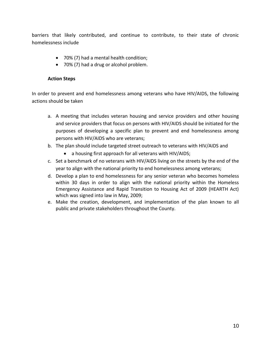barriers that likely contributed, and continue to contribute, to their state of chronic homelessness include

- 70% (7) had a mental health condition;
- 70% (7) had a drug or alcohol problem.

## **Action Steps**

In order to prevent and end homelessness among veterans who have HIV/AIDS, the following actions should be taken

- a. A meeting that includes veteran housing and service providers and other housing and service providers that focus on persons with HIV/AIDS should be initiated for the purposes of developing a specific plan to prevent and end homelessness among persons with HIV/AIDS who are veterans;
- b. The plan should include targeted street outreach to veterans with HIV/AIDS and
	- a housing first approach for all veterans with HIV/AIDS;
- c. Set a benchmark of no veterans with HIV/AIDS living on the streets by the end of the year to align with the national priority to end homelessness among veterans;
- d. Develop a plan to end homelessness for any senior veteran who becomes homeless within 30 days in order to align with the national priority within the Homeless Emergency Assistance and Rapid Transition to Housing Act of 2009 (HEARTH Act) which was signed into law in May, 2009;
- e. Make the creation, development, and implementation of the plan known to all public and private stakeholders throughout the County.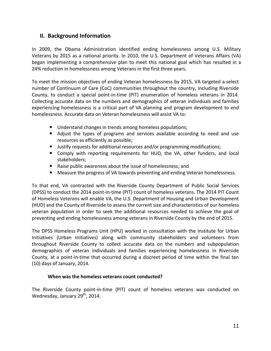# **II. Background Information**

In 2009, the Obama Administration identified ending homelessness among U.S. Military Veterans by 2015 as a national priority. In 2010, the U.S. Department of Veterans Affairs (VA) began implementing a comprehensive plan to meet this national goal which has resulted in a 24% reduction in homelessness among Veterans in the first three years.

To meet the mission objectives of ending Veteran homelessness by 2015, VA targeted a select number of Continuum of Care (CoC) communities throughout the country, including Riverside County, to conduct a special point-in-time (PIT) enumeration of homeless veterans in 2014. Collecting accurate data on the numbers and demographics of veteran individuals and families experiencing homelessness is a critical part of VA planning and program development to end homelessness. Accurate data on Veteran homelessness will assist VA to:

- Understand changes in trends among homeless populations;
- Adjust the types of programs and services available according to need and use resources as efficiently as possible;
- Justify requests for additional resources and/or programming modifications;
- Comply with reporting requirements for HUD, the VA, other funders, and local stakeholders;
- Raise public awareness about the issue of homelessness; and
- Measure the progress of VA towards preventing and ending Veteran homelessness.

To that end, VA contracted with the Riverside County Department of Public Social Services (DPSS) to conduct the 2014 point-in-time (PIT) count of homeless veterans. The 2014 PIT Count of Homeless Veterans will enable VA, the U.S. Department of Housing and Urban Development (HUD) and the County of Riverside to assess the current size and characteristics of our homeless veteran population in order to seek the additional resources needed to achieve the goal of preventing and ending homelessness among veterans in Riverside County by the end of 2015.

The DPSS Homeless Programs Unit (HPU) worked in consultation with the Institute for Urban Initiatives (Urban Initiatives) along with community stakeholders and volunteers from throughout Riverside County to collect accurate data on the numbers and subpopulation demographics of veteran individuals and families experiencing homelessness in Riverside County, at a point-in-time that occurred during a discreet period of time within the final ten (10) days of January, 2014.

## **When was the homeless veterans count conducted?**

The Riverside County point-in-time (PIT) count of homeless veterans was conducted on Wednesday, January  $29<sup>th</sup>$ , 2014.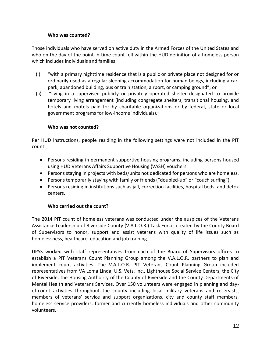## **Who was counted?**

Those individuals who have served on active duty in the Armed Forces of the United States and who on the day of the point-in-time count fell within the HUD definition of a homeless person which includes individuals and families:

- (i) "with a primary nighttime residence that is a public or private place not designed for or ordinarily used as a regular sleeping accommodation for human beings, including a car, park, abandoned building, bus or train station, airport, or camping ground"; or
- (ii) "living in a supervised publicly or privately operated shelter designated to provide temporary living arrangement (including congregate shelters, transitional housing, and hotels and motels paid for by charitable organizations or by federal, state or local government programs for low-income individuals)."

## **Who was not counted?**

Per HUD instructions, people residing in the following settings were not included in the PIT count:

- Persons residing in permanent supportive housing programs, including persons housed using HUD Veterans Affairs Supportive Housing (VASH) vouchers.
- Persons staying in projects with beds/units not dedicated for persons who are homeless.
- Persons temporarily staying with family or friends ("doubled-up" or "couch surfing")
- Persons residing in institutions such as jail, correction facilities, hospital beds, and detox centers.

## **Who carried out the count?**

The 2014 PIT count of homeless veterans was conducted under the auspices of the Veterans Assistance Leadership of Riverside County (V.A.L.O.R.) Task Force, created by the County Board of Supervisors to honor, support and assist veterans with quality of life issues such as homelessness, healthcare, education and job training.

DPSS worked with staff representatives from each of the Board of Supervisors offices to establish a PIT Veterans Count Planning Group among the V.A.L.O.R. partners to plan and implement count activities. The V.A.L.O.R. PIT Veterans Count Planning Group included representatives from VA Loma Linda, U.S. Vets, Inc., Lighthouse Social Service Centers, the City of Riverside, the Housing Authority of the County of Riverside and the County Departments of Mental Health and Veterans Services. Over 150 volunteers were engaged in planning and dayof-count activities throughout the county including local military veterans and reservists, members of veterans' service and support organizations, city and county staff members, homeless service providers, former and currently homeless individuals and other community volunteers.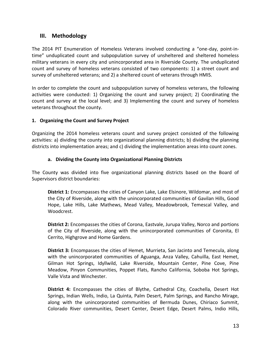# **III. Methodology**

The 2014 PIT Enumeration of Homeless Veterans involved conducting a "one-day, point-intime" unduplicated count and subpopulation survey of unsheltered and sheltered homeless military veterans in every city and unincorporated area in Riverside County. The unduplicated count and survey of homeless veterans consisted of two components: 1) a street count and survey of unsheltered veterans; and 2) a sheltered count of veterans through HMIS.

In order to complete the count and subpopulation survey of homeless veterans, the following activities were conducted: 1) Organizing the count and survey project; 2) Coordinating the count and survey at the local level; and 3) Implementing the count and survey of homeless veterans throughout the county.

## **1. Organizing the Count and Survey Project**

Organizing the 2014 homeless veterans count and survey project consisted of the following activities: a) dividing the county into organizational planning districts; b) dividing the planning districts into implementation areas; and c) dividing the implementation areas into count zones.

## **a. Dividing the County into Organizational Planning Districts**

The County was divided into five organizational planning districts based on the Board of Supervisors district boundaries:

**District 1:** Encompasses the cities of Canyon Lake, Lake Elsinore, Wildomar, and most of the City of Riverside, along with the unincorporated communities of Gavilan Hills, Good Hope, Lake Hills, Lake Mathews, Mead Valley, Meadowbrook, Temescal Valley, and Woodcrest.

**District 2:** Encompasses the cities of Corona, Eastvale, Jurupa Valley, Norco and portions of the City of Riverside, along with the unincorporated communities of Coronita, El Cerrito, Highgrove and Home Gardens.

**District 3:** Encompasses the cities of Hemet, Murrieta, San Jacinto and Temecula, along with the unincorporated communities of Aguanga, Anza Valley, Cahuilla, East Hemet, Gilman Hot Springs, Idyllwild, Lake Riverside, Mountain Center, Pine Cove, Pine Meadow, Pinyon Communities, Poppet Flats, Rancho California, Soboba Hot Springs, Valle Vista and Winchester.

**District 4:** Encompasses the cities of Blythe, Cathedral City, Coachella, Desert Hot Springs, Indian Wells, Indio, La Quinta, Palm Desert, Palm Springs, and Rancho Mirage, along with the unincorporated communities of Bermuda Dunes, Chiriaco Summit, Colorado River communities, Desert Center, Desert Edge, Desert Palms, Indio Hills,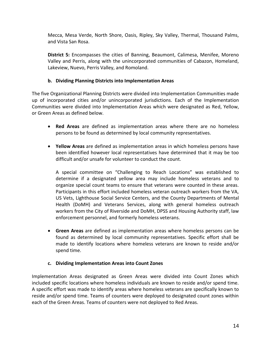Mecca, Mesa Verde, North Shore, Oasis, Ripley, Sky Valley, Thermal, Thousand Palms, and Vista San Rosa.

**District 5:** Encompasses the cities of Banning, Beaumont, Calimesa, Menifee, Moreno Valley and Perris, along with the unincorporated communities of Cabazon, Homeland, Lakeview, Nuevo, Perris Valley, and Romoland.

# **b. Dividing Planning Districts into Implementation Areas**

The five Organizational Planning Districts were divided into Implementation Communities made up of incorporated cities and/or unincorporated jurisdictions. Each of the Implementation Communities were divided into Implementation Areas which were designated as Red, Yellow, or Green Areas as defined below.

- **Red Areas** are defined as implementation areas where there are no homeless persons to be found as determined by local community representatives.
- **Yellow Areas** are defined as implementation areas in which homeless persons have been identified however local representatives have determined that it may be too difficult and/or unsafe for volunteer to conduct the count.

A special committee on "Challenging to Reach Locations" was established to determine if a designated yellow area may include homeless veterans and to organize special count teams to ensure that veterans were counted in these areas. Participants in this effort included homeless veteran outreach workers from the VA, US Vets, Lighthouse Social Service Centers, and the County Departments of Mental Health (DoMH) and Veterans Services, along with general homeless outreach workers from the City of Riverside and DoMH, DPSS and Housing Authority staff, law enforcement personnel, and formerly homeless veterans.

 **Green Areas** are defined as implementation areas where homeless persons can be found as determined by local community representatives. Specific effort shall be made to identify locations where homeless veterans are known to reside and/or spend time.

## **c. Dividing Implementation Areas into Count Zones**

Implementation Areas designated as Green Areas were divided into Count Zones which included specific locations where homeless individuals are known to reside and/or spend time. A specific effort was made to identify areas where homeless veterans are specifically known to reside and/or spend time. Teams of counters were deployed to designated count zones within each of the Green Areas. Teams of counters were not deployed to Red Areas.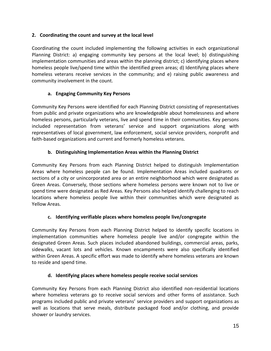## **2. Coordinating the count and survey at the local level**

Coordinating the count included implementing the following activities in each organizational Planning District: a) engaging community key persons at the local level; b) distinguishing implementation communities and areas within the planning district; c) identifying places where homeless people live/spend time within the identified green areas; d) Identifying places where homeless veterans receive services in the community; and e) raising public awareness and community involvement in the count.

## **a. Engaging Community Key Persons**

Community Key Persons were identified for each Planning District consisting of representatives from public and private organizations who are knowledgeable about homelessness and where homeless persons, particularly veterans, live and spend time in their communities. Key persons included representation from veterans' service and support organizations along with representatives of local government, law enforcement, social service providers, nonprofit and faith-based organizations and current and formerly homeless veterans.

## **b. Distinguishing Implementation Areas within the Planning District**

Community Key Persons from each Planning District helped to distinguish Implementation Areas where homeless people can be found. Implementation Areas included quadrants or sections of a city or unincorporated area or an entire neighborhood which were designated as Green Areas. Conversely, those sections where homeless persons were known not to live or spend time were designated as Red Areas. Key Persons also helped identify challenging to reach locations where homeless people live within their communities which were designated as Yellow Areas.

# **c. Identifying verifiable places where homeless people live/congregate**

Community Key Persons from each Planning District helped to identify specific locations in implementation communities where homeless people live and/or congregate within the designated Green Areas. Such places included abandoned buildings, commercial areas, parks, sidewalks, vacant lots and vehicles. Known encampments were also specifically identified within Green Areas. A specific effort was made to identify where homeless veterans are known to reside and spend time.

## **d. Identifying places where homeless people receive social services**

Community Key Persons from each Planning District also identified non-residential locations where homeless veterans go to receive social services and other forms of assistance. Such programs included public and private veterans' service providers and support organizations as well as locations that serve meals, distribute packaged food and/or clothing, and provide shower or laundry services.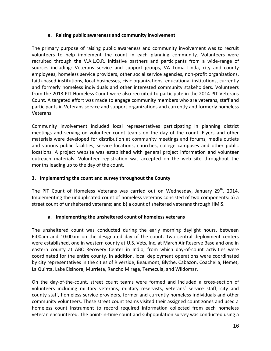## **e. Raising public awareness and community involvement**

The primary purpose of raising public awareness and community involvement was to recruit volunteers to help implement the count in each planning community. Volunteers were recruited through the V.A.L.O.R. Initiative partners and participants from a wide-range of sources including: Veterans service and support groups, VA Loma Linda, city and county employees, homeless service providers, other social service agencies, non-profit organizations, faith-based institutions, local businesses, civic organizations, educational institutions, currently and formerly homeless individuals and other interested community stakeholders. Volunteers from the 2013 PIT Homeless Count were also recruited to participate in the 2014 PIT Veterans Count. A targeted effort was made to engage community members who are veterans, staff and participants in Veterans service and support organizations and currently and formerly homeless Veterans.

Community involvement included local representatives participating in planning district meetings and serving on volunteer count teams on the day of the count. Flyers and other materials were developed for distribution at community meetings and forums, media outlets and various public facilities, service locations, churches, college campuses and other public locations. A project website was established with general project information and volunteer outreach materials. Volunteer registration was accepted on the web site throughout the months leading up to the day of the count.

## **3. Implementing the count and survey throughout the County**

The PIT Count of Homeless Veterans was carried out on Wednesday, January 29<sup>th</sup>, 2014. Implementing the unduplicated count of homeless veterans consisted of two components: a) a street count of unsheltered veterans; and b) a count of sheltered veterans through HMIS.

## **a. Implementing the unsheltered count of homeless veterans**

The unsheltered count was conducted during the early morning daylight hours, between 6:00am and 10:00am on the designated day of the count. Two central deployment centers were established, one in western county at U.S. Vets, Inc. at March Air Reserve Base and one in eastern county at ABC Recovery Center in Indio, from which day-of-count activities were coordinated for the entire county. In addition, local deployment operations were coordinated by city representatives in the cities of Riverside, Beaumont, Blythe, Cabazon, Coachella, Hemet, La Quinta, Lake Elsinore, Murrieta, Rancho Mirage, Temecula, and Wildomar.

On the day-of-the-count, street count teams were formed and included a cross-section of volunteers including military veterans, military reservists, veterans' service staff, city and county staff, homeless service providers, former and currently homeless individuals and other community volunteers. These street count teams visited their assigned count zones and used a homeless count instrument to record required information collected from each homeless veteran encountered. The point-in-time count and subpopulation survey was conducted using a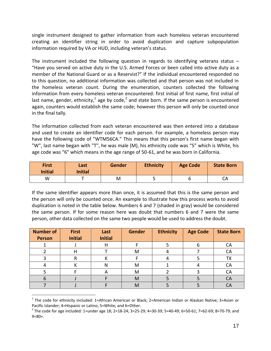single instrument designed to gather information from each homeless veteran encountered creating an identifier string in order to avoid duplication and capture subpopulation information required by VA or HUD, including veteran's status.

The instrument included the following question in regards to identifying veterans status  $-$ "Have you served on active duty in the U.S. Armed Forces or been called into active duty as a member of the National Guard or as a Reservist?" If the individual encountered responded no to this question, no additional information was collected and that person was not included in the homeless veteran count. During the enumeration, counters collected the following information from every homeless veteran encountered: first initial of first name, first initial of last name, gender, ethnicity,<sup>1</sup> age by code,<sup>2</sup> and state born. If the same person is encountered again, counters would establish the same code; however this person will only be counted once in the final tally.

The information collected from each veteran encountered was then entered into a database and used to create an identifier code for each person. For example, a homeless person may have the following code of "WTM56CA." This means that this person's first name began with "W", last name began with "T", he was male (M), his ethnicity code was "5" which is White, his age code was "6" which means in the age range of 50-61, and he was born in California.

| <b>First</b><br><b>Initial</b> | Last<br><b>Initial</b> | <b>Gender</b> | <b>Ethnicity</b> | <b>Age Code</b> | <b>State Born</b> |
|--------------------------------|------------------------|---------------|------------------|-----------------|-------------------|
| W                              |                        | M             |                  |                 | CA                |

If the same identifier appears more than once, it is assumed that this is the same person and the person will only be counted once. An example to illustrate how this process works to avoid duplication is noted in the table below. Numbers 6 and 7 (shaded in gray) would be considered the same person. If for some reason here was doubt that numbers 6 and 7 were the same person, other data collected on the same two people would be used to address the doubt.

| <b>Number of</b><br><b>Person</b> | <b>First</b><br><b>Initial</b> | Last<br><b>Initial</b> | Gender | <b>Ethnicity</b> | <b>Age Code</b> | <b>State Born</b> |
|-----------------------------------|--------------------------------|------------------------|--------|------------------|-----------------|-------------------|
|                                   |                                | H                      |        |                  | n               | CА                |
|                                   |                                |                        | M      |                  |                 | CA                |
|                                   |                                |                        |        |                  |                 | TХ                |
|                                   |                                | N                      | M      |                  |                 | CА                |
|                                   |                                | ٣                      | M      |                  |                 | CA                |
|                                   |                                |                        | M      |                  |                 | CА                |
|                                   |                                |                        | м      |                  |                 |                   |

 $^{\text{1}}$  The code for ethnicity included: 1=African American or Black; 2=American Indian or Alaskan Native; 3=Asian or Pacific Islander; 4=Hispanic or Latino; 5=White; and 6=Other.

 $\overline{a}$ 

 $^2$  The code for age included: 1=under age 18; 2=18-24; 3=25-29; 4=30-39; 5=40-49; 6=50-61; 7=62-69; 8=70-79; and  $9=80+$ .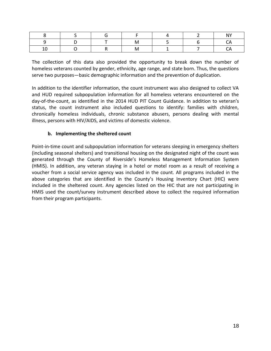The collection of this data also provided the opportunity to break down the number of homeless veterans counted by gender, ethnicity, age range, and state born. Thus, the questions serve two purposes—basic demographic information and the prevention of duplication.

In addition to the identifier information, the count instrument was also designed to collect VA and HUD required subpopulation information for all homeless veterans encountered on the day-of-the-count, as identified in the 2014 HUD PIT Count Guidance. In addition to veteran's status, the count instrument also included questions to identify: families with children, chronically homeless individuals, chronic substance abusers, persons dealing with mental illness, persons with HIV/AIDS, and victims of domestic violence.

## **b. Implementing the sheltered count**

Point-in-time count and subpopulation information for veterans sleeping in emergency shelters (including seasonal shelters) and transitional housing on the designated night of the count was generated through the County of Riverside's Homeless Management Information System (HMIS). In addition, any veteran staying in a hotel or motel room as a result of receiving a voucher from a social service agency was included in the count. All programs included in the above categories that are identified in the County's Housing Inventory Chart (HIC) were included in the sheltered count. Any agencies listed on the HIC that are not participating in HMIS used the count/survey instrument described above to collect the required information from their program participants.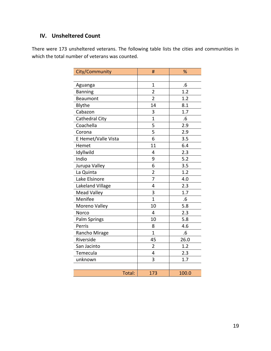# **IV. Unsheltered Count**

There were 173 unsheltered veterans. The following table lists the cities and communities in which the total number of veterans was counted.

| City/Community        | #                       | %     |
|-----------------------|-------------------------|-------|
|                       |                         |       |
| Aguanga               | $\overline{1}$          | .6    |
| <b>Banning</b>        | $\overline{2}$          | 1.2   |
| Beaumont              | $\overline{2}$          | 1.2   |
| Blythe                | 14                      | 8.1   |
| Cabazon               | 3                       | 1.7   |
| <b>Cathedral City</b> | $\overline{1}$          | .6    |
| Coachella             | 5                       | 2.9   |
| Corona                | 5                       | 2.9   |
| E Hemet/Valle Vista   | 6                       | 3.5   |
| Hemet                 | 11                      | 6.4   |
| Idyllwild             | 4                       | 2.3   |
| Indio                 | 9                       | 5.2   |
| Jurupa Valley         | 6                       | 3.5   |
| La Quinta             | $\overline{2}$          | 1.2   |
| Lake Elsinore         | 7                       | 4.0   |
| Lakeland Village      | 4                       | 2.3   |
| <b>Mead Valley</b>    | 3                       | 1.7   |
| Menifee               | $\mathbf{1}$            | .6    |
| Moreno Valley         | 10                      | 5.8   |
| <b>Norco</b>          | $\overline{4}$          | 2.3   |
| Palm Springs          | 10                      | 5.8   |
| Perris                | 8                       | 4.6   |
| Rancho Mirage         | $\overline{1}$          | .6    |
| Riverside             | 45                      | 26.0  |
| San Jacinto           | $\overline{\mathbf{c}}$ | 1.2   |
| Temecula              | $\overline{4}$          | 2.3   |
| unknown               | 3                       | 1.7   |
|                       |                         |       |
| Total:                | 173                     | 100.0 |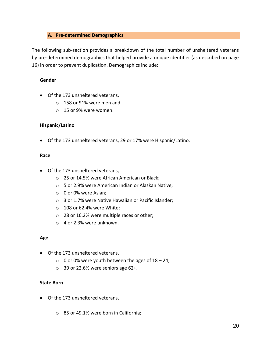## **A. Pre-determined Demographics**

The following sub-section provides a breakdown of the total number of unsheltered veterans by pre-determined demographics that helped provide a unique identifier (as described on page 16) in order to prevent duplication. Demographics include:

## **Gender**

- Of the 173 unsheltered veterans,
	- o 158 or 91% were men and
	- o 15 or 9% were women.

## **Hispanic/Latino**

Of the 173 unsheltered veterans, 29 or 17% were Hispanic/Latino.

#### **Race**

- Of the 173 unsheltered veterans,
	- o 25 or 14.5% were African American or Black;
	- o 5 or 2.9% were American Indian or Alaskan Native;
	- o 0 or 0% were Asian;
	- o 3 or 1.7% were Native Hawaiian or Pacific Islander;
	- o 108 or 62.4% were White;
	- o 28 or 16.2% were multiple races or other;
	- $\circ$  4 or 2.3% were unknown.

#### **Age**

- Of the 173 unsheltered veterans,
	- $\circ$  0 or 0% were youth between the ages of 18 24;
	- $\circ$  39 or 22.6% were seniors age 62+.

# **State Born**

- Of the 173 unsheltered veterans,
	- o 85 or 49.1% were born in California;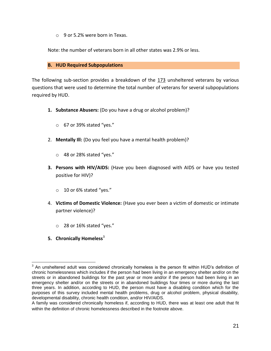$\circ$  9 or 5.2% were born in Texas.

Note: the number of veterans born in all other states was 2.9% or less.

#### **B. HUD Required Subpopulations**

The following sub-section provides a breakdown of the 173 unsheltered veterans by various questions that were used to determine the total number of veterans for several subpopulations required by HUD.

- **1. Substance Abusers:** (Do you have a drug or alcohol problem)?
	- o 67 or 39% stated "yes."
- 2. **Mentally Ill:** (Do you feel you have a mental health problem)?
	- o 48 or 28% stated "yes."
- **3. Persons with HIV/AIDS:** (Have you been diagnosed with AIDS or have you tested positive for HIV)?
	- o 10 or 6% stated "yes."
- 4. **Victims of Domestic Violence:** (Have you ever been a victim of domestic or intimate partner violence)?
	- o 28 or 16% stated "yes."
- **5.** Chronically Homeless<sup>3</sup>

 $\overline{a}$  $3$  An unsheltered adult was considered chronically homeless is the person fit within HUD's definition of chronic homelessness which includes if the person had been living in an emergency shelter and/or on the streets or in abandoned buildings for the past year or more and/or if the person had been living in an emergency shelter and/or on the streets or in abandoned buildings four times or more during the last three years. In addition, according to HUD, the person must have a disabling condition which for the purposes of this survey included mental health problems, drug or alcohol problem, physical disability, developmental disability, chronic health condition, and/or HIV/AIDS.

A family was considered chronically homeless if, according to HUD, there was at least one adult that fit within the definition of chronic homelessness described in the footnote above.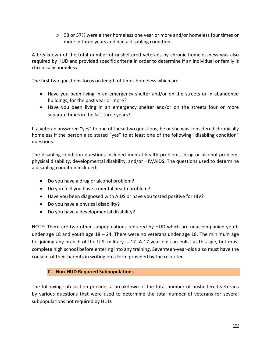$\circ$  98 or 57% were either homeless one year or more and/or homeless four times or more in three years and had a disabling condition.

A breakdown of the total number of unsheltered veterans by chronic homelessness was also required by HUD and provided specific criteria in order to determine if an individual or family is chronically homeless.

The first two questions focus on length of times homeless which are

- Have you been living in an emergency shelter and/or on the streets or in abandoned buildings, for the past year or more?
- Have you been living in an emergency shelter and/or on the streets four or more separate times in the last three years?

If a veteran answered "yes" to one of these two questions, he or she was considered chronically homeless if the person also stated "yes" to at least one of the following "disabling condition" questions.

The disabling condition questions included mental health problems, drug or alcohol problem, physical disability, developmental disability, and/or HIV/AIDS. The questions used to determine a disabling condition included:

- Do you have a drug or alcohol problem?
- Do you feel you have a mental health problem?
- Have you been diagnosed with AIDS or have you tested positive for HIV?
- Do you have a physical disability?
- Do you have a developmental disability?

NOTE: There are two other subpopulations required by HUD which are unaccompanied youth under age 18 and youth age  $18 - 24$ . There were no veterans under age 18. The minimum age for joining any branch of the U.S. military is 17. A 17 year old can enlist at this age, but must complete high school before entering into any training. Seventeen-year-olds also must have the consent of their parents in writing on a form provided by the recruiter.

## **C. Non-HUD Required Subpopulations**

The following sub-section provides a breakdown of the total number of unsheltered veterans by various questions that were used to determine the total number of veterans for several subpopulations not required by HUD.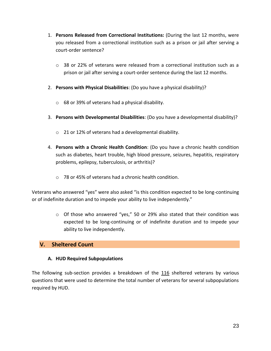- 1. **Persons Released from Correctional Institutions:** (During the last 12 months, were you released from a correctional institution such as a prison or jail after serving a court-order sentence?
	- $\circ$  38 or 22% of veterans were released from a correctional institution such as a prison or jail after serving a court-order sentence during the last 12 months.
- 2. **Persons with Physical Disabilities**: (Do you have a physical disability)?
	- o 68 or 39% of veterans had a physical disability.
- 3. **Persons with Developmental Disabilities**: (Do you have a developmental disability)?
	- o 21 or 12% of veterans had a developmental disability.
- 4. **Persons with a Chronic Health Condition**: (Do you have a chronic health condition such as diabetes, heart trouble, high blood pressure, seizures, hepatitis, respiratory problems, epilepsy, tuberculosis, or arthritis)?
	- o 78 or 45% of veterans had a chronic health condition.

Veterans who answered "yes" were also asked "is this condition expected to be long-continuing or of indefinite duration and to impede your ability to live independently."

> o Of those who answered "yes," 50 or 29% also stated that their condition was expected to be long-continuing or of indefinite duration and to impede your ability to live independently.

# **V. Sheltered Count**

## **A. HUD Required Subpopulations**

The following sub-section provides a breakdown of the 116 sheltered veterans by various questions that were used to determine the total number of veterans for several subpopulations required by HUD.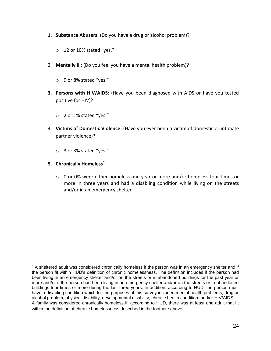- **1. Substance Abusers:** (Do you have a drug or alcohol problem)?
	- o 12 or 10% stated "yes."
- 2. **Mentally Ill:** (Do you feel you have a mental health problem)?
	- o 9 or 8% stated "yes."
- **3. Persons with HIV/AIDS:** (Have you been diagnosed with AIDS or have you tested positive for HIV)?
	- o 2 or 1% stated "yes."
- 4. **Victims of Domestic Violence:** (Have you ever been a victim of domestic or intimate partner violence)?
	- o 3 or 3% stated "yes."
- **5.** Chronically Homeless<sup>4</sup>
	- $\circ$  0 or 0% were either homeless one year or more and/or homeless four times or more in three years and had a disabling condition while living on the streets and/or in an emergency shelter.

 $\overline{a}$  $4$  A sheltered adult was considered chronically homeless if the person was in an emergency shelter and if the person fit within HUD's definition of chronic homelessness. The definition includes if the person had been living in an emergency shelter and/or on the streets or in abandoned buildings for the past year or more and/or if the person had been living in an emergency shelter and/or on the streets or in abandoned buildings four times or more during the last three years. In addition, according to HUD, the person must have a disabling condition which for the purposes of this survey included mental health problems, drug or alcohol problem, physical disability, developmental disability, chronic health condition, and/or HIV/AIDS. A family was considered chronically homeless if, according to HUD, there was at least one adult that fit within the definition of chronic homelessness described in the footnote above.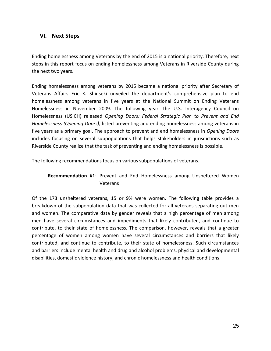# **VI. Next Steps**

Ending homelessness among Veterans by the end of 2015 is a national priority. Therefore, next steps in this report focus on ending homelessness among Veterans in Riverside County during the next two years.

Ending homelessness among veterans by 2015 became a national priority after Secretary of Veterans Affairs Eric K. Shinseki unveiled the department's comprehensive plan to end homelessness among veterans in five years at the National Summit on Ending Veterans Homelessness in November 2009. The following year, the U.S. Interagency Council on Homelessness (USICH) released *Opening Doors: Federal Strategic Plan to Prevent and End Homelessness (Opening Doors),* listed preventing and ending homelessness among veterans in five years as a primary goal. The approach to prevent and end homelessness in *Opening Doors* includes focusing on several subpopulations that helps stakeholders in jurisdictions such as Riverside County realize that the task of preventing and ending homelessness is possible.

The following recommendations focus on various subpopulations of veterans.

# **Recommendation #1**: Prevent and End Homelessness among Unsheltered Women Veterans

Of the 173 unsheltered veterans, 15 or 9% were women. The following table provides a breakdown of the subpopulation data that was collected for all veterans separating out men and women. The comparative data by gender reveals that a high percentage of men among men have several circumstances and impediments that likely contributed, and continue to contribute, to their state of homelessness. The comparison, however, reveals that a greater percentage of women among women have several circumstances and barriers that likely contributed, and continue to contribute, to their state of homelessness. Such circumstances and barriers include mental health and drug and alcohol problems, physical and developmental disabilities, domestic violence history, and chronic homelessness and health conditions.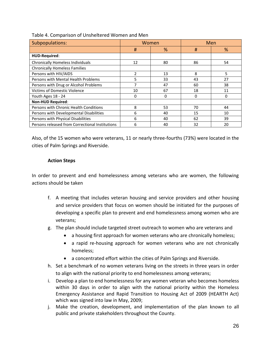| Subpopulations:                                 | Women                    |          | Men |          |
|-------------------------------------------------|--------------------------|----------|-----|----------|
|                                                 | #                        | %        | #   | %        |
| HUD-Required:                                   |                          |          |     |          |
| <b>Chronically Homeless Individuals</b>         | 12                       | 80       | 86  | 54       |
| <b>Chronically Homeless Families</b>            |                          |          |     |          |
| Persons with HIV/AIDS                           | $\overline{\phantom{a}}$ | 13       | 8   | 5        |
| Persons with Mental Health Problems             | 5                        | 33       | 43  | 27       |
| Persons with Drug or Alcohol Problems           | 7                        | 47       | 60  | 38       |
| <b>Victims of Domestic Violence</b>             | 10                       | 67       | 18  | 11       |
| Youth Ages 18 - 24                              | $\Omega$                 | $\Omega$ | 0   | $\Omega$ |
| <b>Non-HUD Required:</b>                        |                          |          |     |          |
| Persons with Chronic Health Conditions          | 8                        | 53       | 70  | 44       |
| Persons with Developmental Disabilities         | 6                        | 40       | 15  | 10       |
| Persons with Physical Disabilities              | 6                        | 40       | 62  | 39       |
| Persons released from Correctional Institutions | 6                        | 40       | 32  | 20       |

Table 4. Comparison of Unsheltered Women and Men

Also, of the 15 women who were veterans, 11 or nearly three-fourths (73%) were located in the cities of Palm Springs and Riverside.

## **Action Steps**

In order to prevent and end homelessness among veterans who are women, the following actions should be taken

- f. A meeting that includes veteran housing and service providers and other housing and service providers that focus on women should be initiated for the purposes of developing a specific plan to prevent and end homelessness among women who are veterans;
- g. The plan should include targeted street outreach to women who are veterans and
	- a housing first approach for women veterans who are chronically homeless;
	- a rapid re-housing approach for women veterans who are not chronically homeless;
	- a concentrated effort within the cities of Palm Springs and Riverside.
- h. Set a benchmark of no women veterans living on the streets in three years in order to align with the national priority to end homelessness among veterans;
- i. Develop a plan to end homelessness for any women veteran who becomes homeless within 30 days in order to align with the national priority within the Homeless Emergency Assistance and Rapid Transition to Housing Act of 2009 (HEARTH Act) which was signed into law in May, 2009;
- j. Make the creation, development, and implementation of the plan known to all public and private stakeholders throughout the County.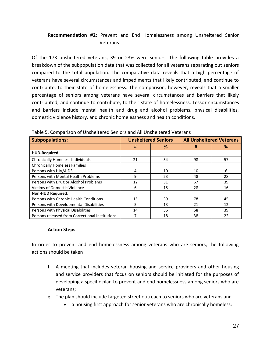# **Recommendation #2**: Prevent and End Homelessness among Unsheltered Senior Veterans

Of the 173 unsheltered veterans, 39 or 23% were seniors. The following table provides a breakdown of the subpopulation data that was collected for all veterans separating out seniors compared to the total population. The comparative data reveals that a high percentage of veterans have several circumstances and impediments that likely contributed, and continue to contribute, to their state of homelessness. The comparison, however, reveals that a smaller percentage of seniors among veterans have several circumstances and barriers that likely contributed, and continue to contribute, to their state of homelessness. Lessor circumstances and barriers include mental health and drug and alcohol problems, physical disabilities, domestic violence history, and chronic homelessness and health conditions.

| <b>Subpopulations:</b>                          | <b>Unsheltered Seniors</b> |    | <b>All Unsheltered Veterans</b> |    |
|-------------------------------------------------|----------------------------|----|---------------------------------|----|
|                                                 | #                          | %  | #                               | %  |
| HUD-Required:                                   |                            |    |                                 |    |
| Chronically Homeless Individuals                | 21                         | 54 | 98                              | 57 |
| <b>Chronically Homeless Families</b>            |                            |    |                                 |    |
| Persons with HIV/AIDS                           | 4                          | 10 | 10                              | 6  |
| Persons with Mental Health Problems             | 9                          | 23 | 48                              | 28 |
| Persons with Drug or Alcohol Problems           | 12                         | 31 | 67                              | 39 |
| <b>Victims of Domestic Violence</b>             | 6                          | 15 | 28                              | 16 |
| <b>Non-HUD Required:</b>                        |                            |    |                                 |    |
| Persons with Chronic Health Conditions          | 15                         | 39 | 78                              | 45 |
| Persons with Developmental Disabilities         | 5                          | 13 | 21                              | 12 |
| Persons with Physical Disabilities              | 14                         | 36 | 68                              | 39 |
| Persons released from Correctional Institutions |                            | 18 | 38                              | 22 |

Table 5. Comparison of Unsheltered Seniors and All Unsheltered Veterans

#### **Action Steps**

In order to prevent and end homelessness among veterans who are seniors, the following actions should be taken

- f. A meeting that includes veteran housing and service providers and other housing and service providers that focus on seniors should be initiated for the purposes of developing a specific plan to prevent and end homelessness among seniors who are veterans;
- g. The plan should include targeted street outreach to seniors who are veterans and
	- a housing first approach for senior veterans who are chronically homeless;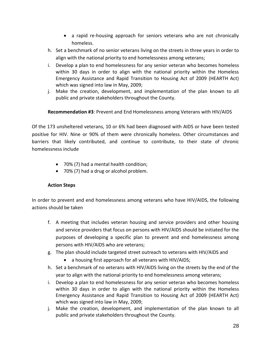- a rapid re-housing approach for seniors veterans who are not chronically homeless.
- h. Set a benchmark of no senior veterans living on the streets in three years in order to align with the national priority to end homelessness among veterans;
- i. Develop a plan to end homelessness for any senior veteran who becomes homeless within 30 days in order to align with the national priority within the Homeless Emergency Assistance and Rapid Transition to Housing Act of 2009 (HEARTH Act) which was signed into law in May, 2009;
- j. Make the creation, development, and implementation of the plan known to all public and private stakeholders throughout the County.

## **Recommendation #3**: Prevent and End Homelessness among Veterans with HIV/AIDS

Of the 173 unsheltered veterans, 10 or 6% had been diagnosed with AIDS or have been tested positive for HIV. Nine or 90% of them were chronically homeless. Other circumstances and barriers that likely contributed, and continue to contribute, to their state of chronic homelessness include

- 70% (7) had a mental health condition;
- 70% (7) had a drug or alcohol problem.

## **Action Steps**

In order to prevent and end homelessness among veterans who have HIV/AIDS, the following actions should be taken

- f. A meeting that includes veteran housing and service providers and other housing and service providers that focus on persons with HIV/AIDS should be initiated for the purposes of developing a specific plan to prevent and end homelessness among persons with HIV/AIDS who are veterans;
- g. The plan should include targeted street outreach to veterans with HIV/AIDS and
	- a housing first approach for all veterans with HIV/AIDS;
- h. Set a benchmark of no veterans with HIV/AIDS living on the streets by the end of the year to align with the national priority to end homelessness among veterans;
- i. Develop a plan to end homelessness for any senior veteran who becomes homeless within 30 days in order to align with the national priority within the Homeless Emergency Assistance and Rapid Transition to Housing Act of 2009 (HEARTH Act) which was signed into law in May, 2009;
- j. Make the creation, development, and implementation of the plan known to all public and private stakeholders throughout the County.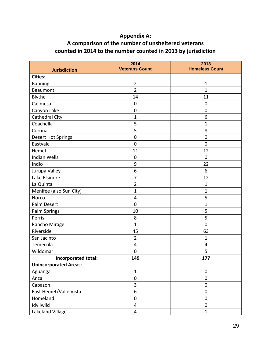# **Appendix A:**

# **A comparison of the number of unsheltered veterans counted in 2014 to the number counted in 2013 by jurisdiction**

| <b>Jurisdiction</b>          | 2014<br><b>Veterans Count</b> | 2013<br><b>Homeless Count</b> |
|------------------------------|-------------------------------|-------------------------------|
| <b>Cities:</b>               |                               |                               |
| <b>Banning</b>               | $\overline{2}$                | $\mathbf{1}$                  |
| Beaumont                     | $\overline{2}$                | $\mathbf{1}$                  |
| Blythe                       | 14                            | 11                            |
| Calimesa                     | $\mathbf 0$                   | $\mathbf 0$                   |
| Canyon Lake                  | $\mathbf 0$                   | $\boldsymbol{0}$              |
| <b>Cathedral City</b>        | 1                             | 6                             |
| Coachella                    | 5                             | 1                             |
| Corona                       | 5                             | 8                             |
| <b>Desert Hot Springs</b>    | $\mathbf 0$                   | $\boldsymbol{0}$              |
| Eastvale                     | $\mathbf 0$                   | $\mathbf 0$                   |
| Hemet                        | 11                            | 12                            |
| <b>Indian Wells</b>          | $\mathbf 0$                   | $\mathbf 0$                   |
| Indio                        | 9                             | 22                            |
| Jurupa Valley                | 6                             | 6                             |
| Lake Elsinore                | 7                             | 12                            |
| La Quinta                    | $\overline{2}$                | 1                             |
| Menifee (also Sun City)      | $\mathbf 1$                   | 1                             |
| Norco                        | 4                             | 5                             |
| Palm Desert                  | $\mathbf 0$                   | 1                             |
| Palm Springs                 | 10                            | 5                             |
| Perris                       | 8                             | 5                             |
| Rancho Mirage                | $\overline{1}$                | $\mathbf 0$                   |
| Riverside                    | 45                            | 63                            |
| San Jacinto                  | $\overline{2}$                | 1                             |
| Temecula                     | 4                             | 4                             |
| Wildomar                     | $\mathbf 0$                   | 5                             |
| Incorporated total:          | 149                           | 177                           |
| <b>Unincorporated Areas:</b> |                               |                               |
| Aguanga                      | $\mathbf{1}$                  | $\boldsymbol{0}$              |
| Anza                         | $\boldsymbol{0}$              | $\pmb{0}$                     |
| Cabazon                      | 3                             | $\pmb{0}$                     |
| East Hemet/Valle Vista       | 6                             | $\boldsymbol{0}$              |
| Homeland                     | $\pmb{0}$                     | $\boldsymbol{0}$              |
| Idyllwild                    | 4                             | $\boldsymbol{0}$              |
| Lakeland Village             | 4                             | $\mathbf{1}$                  |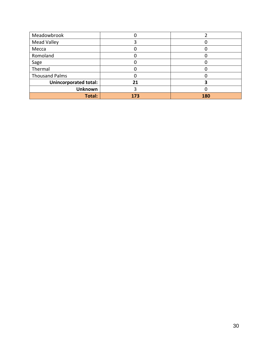| Meadowbrook                  |     |     |
|------------------------------|-----|-----|
| <b>Mead Valley</b>           |     |     |
| Mecca                        |     |     |
| Romoland                     |     |     |
| Sage                         |     |     |
| Thermal                      |     |     |
| <b>Thousand Palms</b>        |     |     |
| <b>Unincorporated total:</b> | 21  |     |
| <b>Unknown</b>               |     |     |
| <b>Total:</b>                | 173 | 180 |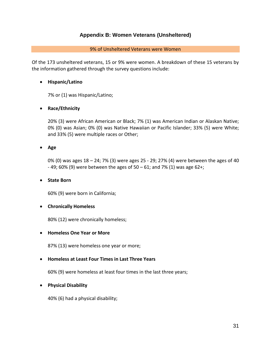## **Appendix B: Women Veterans (Unsheltered)**

#### 9% of Unsheltered Veterans were Women

Of the 173 unsheltered veterans, 15 or 9% were women. A breakdown of these 15 veterans by the information gathered through the survey questions include:

## **Hispanic/Latino**

7% or (1) was Hispanic/Latino;

## **Race/Ethnicity**

20% (3) were African American or Black; 7% (1) was American Indian or Alaskan Native; 0% (0) was Asian; 0% (0) was Native Hawaiian or Pacific Islander; 33% (5) were White; and 33% (5) were multiple races or Other;

**Age**

0% (0) was ages 18 – 24; 7% (3) were ages 25 - 29; 27% (4) were between the ages of 40  $-$  49; 60% (9) were between the ages of 50 – 61; and 7% (1) was age 62+;

#### **State Born**

60% (9) were born in California;

#### **Chronically Homeless**

80% (12) were chronically homeless;

#### **Homeless One Year or More**

87% (13) were homeless one year or more;

## **Homeless at Least Four Times in Last Three Years**

60% (9) were homeless at least four times in the last three years;

## **Physical Disability**

40% (6) had a physical disability;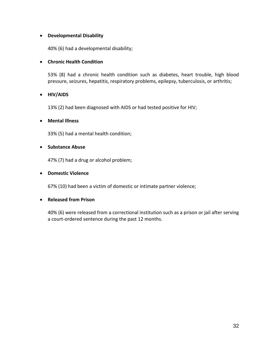## **Developmental Disability**

40% (6) had a developmental disability;

## **Chronic Health Condition**

53% (8) had a chronic health condition such as diabetes, heart trouble, high blood pressure, seizures, hepatitis, respiratory problems, epilepsy, tuberculosis, or arthritis;

## **HIV/AIDS**

13% (2) had been diagnosed with AIDS or had tested positive for HIV;

## **Mental Illness**

33% (5) had a mental health condition;

#### **•** Substance Abuse

47% (7) had a drug or alcohol problem;

#### **•** Domestic Violence

67% (10) had been a victim of domestic or intimate partner violence;

#### **Released from Prison**

40% (6) were released from a correctional institution such as a prison or jail after serving a court-ordered sentence during the past 12 months.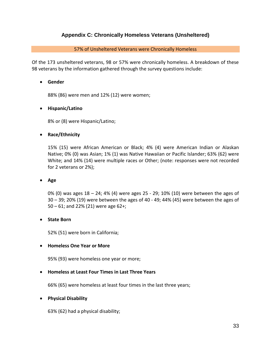# **Appendix C: Chronically Homeless Veterans (Unsheltered)**

#### 57% of Unsheltered Veterans were Chronically Homeless

Of the 173 unsheltered veterans, 98 or 57% were chronically homeless. A breakdown of these 98 veterans by the information gathered through the survey questions include:

#### **Gender**

88% (86) were men and 12% (12) were women;

#### **Hispanic/Latino**

8% or (8) were Hispanic/Latino;

#### **Race/Ethnicity**

15% (15) were African American or Black; 4% (4) were American Indian or Alaskan Native; 0% (0) was Asian; 1% (1) was Native Hawaiian or Pacific Islander; 63% (62) were White; and 14% (14) were multiple races or Other; (note: responses were not recorded for 2 veterans or 2%);

#### **Age**

0% (0) was ages 18 – 24; 4% (4) were ages 25 - 29; 10% (10) were between the ages of 30 – 39; 20% (19) were between the ages of 40 - 49; 44% (45) were between the ages of 50 – 61; and 22% (21) were age 62+;

#### **State Born**

52% (51) were born in California;

#### **Homeless One Year or More**

95% (93) were homeless one year or more;

#### **Homeless at Least Four Times in Last Three Years**

66% (65) were homeless at least four times in the last three years;

#### **Physical Disability**

63% (62) had a physical disability;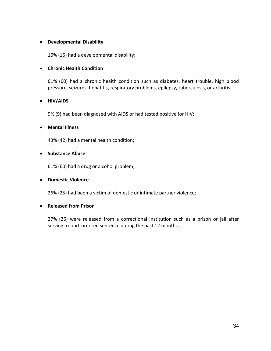## **Developmental Disability**

16% (16) had a developmental disability;

#### **Chronic Health Condition**

61% (60) had a chronic health condition such as diabetes, heart trouble, high blood pressure, seizures, hepatitis, respiratory problems, epilepsy, tuberculosis, or arthritis;

## **HIV/AIDS**

9% (9) had been diagnosed with AIDS or had tested positive for HIV;

#### **Mental Illness**

43% (42) had a mental health condition;

#### **•** Substance Abuse

61% (60) had a drug or alcohol problem;

#### **Domestic Violence**

26% (25) had been a victim of domestic or intimate partner violence;

#### **Released from Prison**

27% (26) were released from a correctional institution such as a prison or jail after serving a court-ordered sentence during the past 12 months.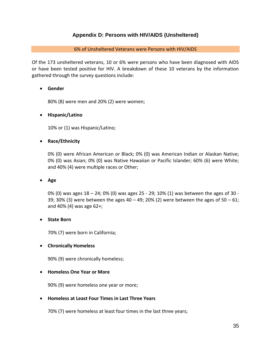# **Appendix D: Persons with HIV/AIDS (Unsheltered)**

#### 6% of Unsheltered Veterans were Persons with HIV/AIDS

Of the 173 unsheltered veterans, 10 or 6% were persons who have been diagnosed with AIDS or have been tested positive for HIV. A breakdown of these 10 veterans by the information gathered through the survey questions include:

#### **Gender**

80% (8) were men and 20% (2) were women;

## **Hispanic/Latino**

10% or (1) was Hispanic/Latino;

## **Race/Ethnicity**

0% (0) were African American or Black; 0% (0) was American Indian or Alaskan Native; 0% (0) was Asian; 0% (0) was Native Hawaiian or Pacific Islander; 60% (6) were White; and 40% (4) were multiple races or Other;

#### **Age**

0% (0) was ages 18 – 24; 0% (0) was ages 25 - 29; 10% (1) was between the ages of 30 - 39; 30% (3) were between the ages 40 – 49; 20% (2) were between the ages of  $50 - 61$ ; and 40% (4) was age 62+;

#### **State Born**

70% (7) were born in California;

#### **Chronically Homeless**

90% (9) were chronically homeless;

#### **Homeless One Year or More**

90% (9) were homeless one year or more;

#### **Homeless at Least Four Times in Last Three Years**

70% (7) were homeless at least four times in the last three years;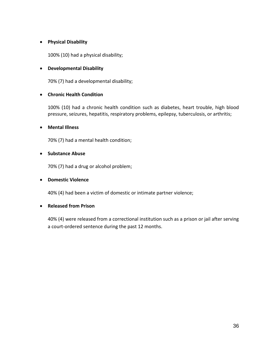## **Physical Disability**

100% (10) had a physical disability;

## **Developmental Disability**

70% (7) had a developmental disability;

## **Chronic Health Condition**

100% (10) had a chronic health condition such as diabetes, heart trouble, high blood pressure, seizures, hepatitis, respiratory problems, epilepsy, tuberculosis, or arthritis;

## **Mental Illness**

70% (7) had a mental health condition;

## **•** Substance Abuse

70% (7) had a drug or alcohol problem;

## **•** Domestic Violence

40% (4) had been a victim of domestic or intimate partner violence;

## **Released from Prison**

40% (4) were released from a correctional institution such as a prison or jail after serving a court-ordered sentence during the past 12 months.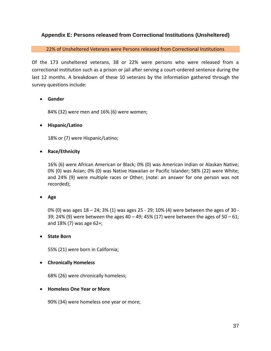# **Appendix E: Persons released from Correctional Institutions (Unsheltered)**

#### 22% of Unsheltered Veterans were Persons released from Correctional Institutions

Of the 173 unsheltered veterans, 38 or 22% were persons who were released from a correctional institution such as a prison or jail after serving a court-ordered sentence during the last 12 months. A breakdown of these 10 veterans by the information gathered through the survey questions include:

#### **Gender**

84% (32) were men and 16% (6) were women;

## **Hispanic/Latino**

18% or (7) were Hispanic/Latino;

## **Race/Ethnicity**

16% (6) were African American or Black; 0% (0) was American Indian or Alaskan Native; 0% (0) was Asian; 0% (0) was Native Hawaiian or Pacific Islander; 58% (22) were White; and 24% (9) were multiple races or Other; (note: an answer for one person was not recorded);

#### **Age**

0% (0) was ages 18 – 24; 3% (1) was ages 25 - 29; 10% (4) were between the ages of 30 - 39; 24% (9) were between the ages 40 - 49; 45% (17) were between the ages of 50 - 61; and 18% (7) was age 62+;

#### **State Born**

55% (21) were born in California;

## **Chronically Homeless**

68% (26) were chronically homeless;

#### **Homeless One Year or More**

90% (34) were homeless one year or more;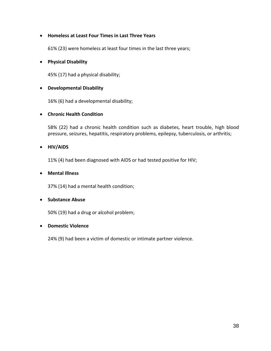## **Homeless at Least Four Times in Last Three Years**

61% (23) were homeless at least four times in the last three years;

## **Physical Disability**

45% (17) had a physical disability;

## **Developmental Disability**

16% (6) had a developmental disability;

## **Chronic Health Condition**

58% (22) had a chronic health condition such as diabetes, heart trouble, high blood pressure, seizures, hepatitis, respiratory problems, epilepsy, tuberculosis, or arthritis;

#### **HIV/AIDS**

11% (4) had been diagnosed with AIDS or had tested positive for HIV;

## **Mental Illness**

37% (14) had a mental health condition;

#### **•** Substance Abuse

50% (19) had a drug or alcohol problem;

#### **Domestic Violence**

24% (9) had been a victim of domestic or intimate partner violence.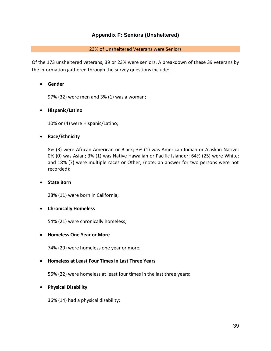# **Appendix F: Seniors (Unsheltered)**

## 23% of Unsheltered Veterans were Seniors

Of the 173 unsheltered veterans, 39 or 23% were seniors. A breakdown of these 39 veterans by the information gathered through the survey questions include:

## **Gender**

97% (32) were men and 3% (1) was a woman;

## **Hispanic/Latino**

10% or (4) were Hispanic/Latino;

## **Race/Ethnicity**

8% (3) were African American or Black; 3% (1) was American Indian or Alaskan Native; 0% (0) was Asian; 3% (1) was Native Hawaiian or Pacific Islander; 64% (25) were White; and 18% (7) were multiple races or Other; (note: an answer for two persons were not recorded);

## **State Born**

28% (11) were born in California;

## **Chronically Homeless**

54% (21) were chronically homeless;

#### **Homeless One Year or More**

74% (29) were homeless one year or more;

## **Homeless at Least Four Times in Last Three Years**

56% (22) were homeless at least four times in the last three years;

## **Physical Disability**

36% (14) had a physical disability;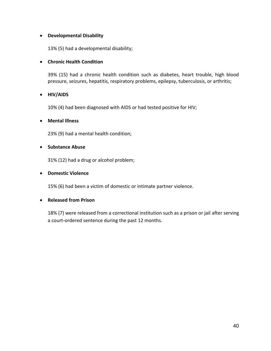## **Developmental Disability**

13% (5) had a developmental disability;

## **Chronic Health Condition**

39% (15) had a chronic health condition such as diabetes, heart trouble, high blood pressure, seizures, hepatitis, respiratory problems, epilepsy, tuberculosis, or arthritis;

## **HIV/AIDS**

10% (4) had been diagnosed with AIDS or had tested positive for HIV;

## **Mental Illness**

23% (9) had a mental health condition;

#### **•** Substance Abuse

31% (12) had a drug or alcohol problem;

#### **•** Domestic Violence

15% (6) had been a victim of domestic or intimate partner violence.

#### **Released from Prison**

18% (7) were released from a correctional institution such as a prison or jail after serving a court-ordered sentence during the past 12 months.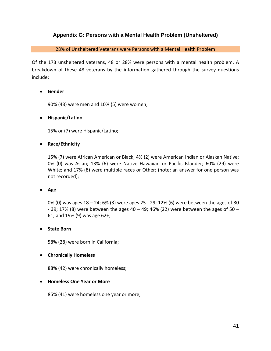# **Appendix G: Persons with a Mental Health Problem (Unsheltered)**

28% of Unsheltered Veterans were Persons with a Mental Health Problem

Of the 173 unsheltered veterans, 48 or 28% were persons with a mental health problem. A breakdown of these 48 veterans by the information gathered through the survey questions include:

## **Gender**

90% (43) were men and 10% (5) were women;

#### **Hispanic/Latino**

15% or (7) were Hispanic/Latino;

## **Race/Ethnicity**

15% (7) were African American or Black; 4% (2) were American Indian or Alaskan Native; 0% (0) was Asian; 13% (6) were Native Hawaiian or Pacific Islander; 60% (29) were White; and 17% (8) were multiple races or Other; (note: an answer for one person was not recorded);

#### **Age**

0% (0) was ages 18 – 24; 6% (3) were ages 25 - 29; 12% (6) were between the ages of 30 - 39; 17% (8) were between the ages  $40 - 49$ ; 46% (22) were between the ages of  $50 -$ 61; and 19% (9) was age 62+;

#### **State Born**

58% (28) were born in California;

#### **Chronically Homeless**

88% (42) were chronically homeless;

#### **Homeless One Year or More**

85% (41) were homeless one year or more;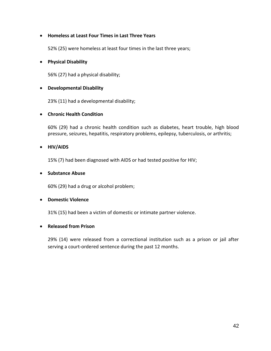## **Homeless at Least Four Times in Last Three Years**

52% (25) were homeless at least four times in the last three years;

## **Physical Disability**

56% (27) had a physical disability;

## **Developmental Disability**

23% (11) had a developmental disability;

## **Chronic Health Condition**

60% (29) had a chronic health condition such as diabetes, heart trouble, high blood pressure, seizures, hepatitis, respiratory problems, epilepsy, tuberculosis, or arthritis;

#### **HIV/AIDS**

15% (7) had been diagnosed with AIDS or had tested positive for HIV;

#### **Substance Abuse**

60% (29) had a drug or alcohol problem;

#### **Domestic Violence**

31% (15) had been a victim of domestic or intimate partner violence.

#### **Released from Prison**

29% (14) were released from a correctional institution such as a prison or jail after serving a court-ordered sentence during the past 12 months.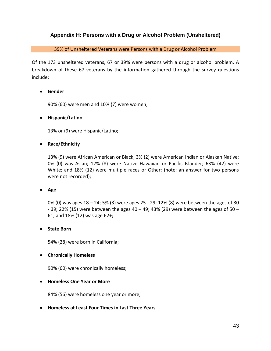# **Appendix H: Persons with a Drug or Alcohol Problem (Unsheltered)**

39% of Unsheltered Veterans were Persons with a Drug or Alcohol Problem

Of the 173 unsheltered veterans, 67 or 39% were persons with a drug or alcohol problem. A breakdown of these 67 veterans by the information gathered through the survey questions include:

## **Gender**

90% (60) were men and 10% (7) were women;

## **Hispanic/Latino**

13% or (9) were Hispanic/Latino;

## **Race/Ethnicity**

13% (9) were African American or Black; 3% (2) were American Indian or Alaskan Native; 0% (0) was Asian; 12% (8) were Native Hawaiian or Pacific Islander; 63% (42) were White; and 18% (12) were multiple races or Other; (note: an answer for two persons were not recorded);

#### **Age**

0% (0) was ages 18 – 24; 5% (3) were ages 25 - 29; 12% (8) were between the ages of 30 - 39; 22% (15) were between the ages 40 – 49; 43% (29) were between the ages of 50 – 61; and 18% (12) was age 62+;

#### **State Born**

54% (28) were born in California;

#### **Chronically Homeless**

90% (60) were chronically homeless;

#### **Homeless One Year or More**

84% (56) were homeless one year or more;

**Homeless at Least Four Times in Last Three Years**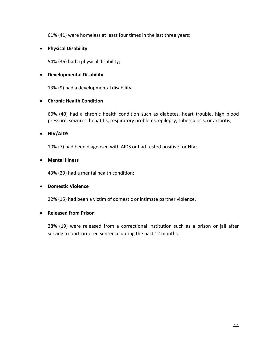61% (41) were homeless at least four times in the last three years;

## **Physical Disability**

54% (36) had a physical disability;

#### **Developmental Disability**

13% (9) had a developmental disability;

## **Chronic Health Condition**

60% (40) had a chronic health condition such as diabetes, heart trouble, high blood pressure, seizures, hepatitis, respiratory problems, epilepsy, tuberculosis, or arthritis;

## **HIV/AIDS**

10% (7) had been diagnosed with AIDS or had tested positive for HIV;

## **Mental Illness**

43% (29) had a mental health condition;

#### **Domestic Violence**

22% (15) had been a victim of domestic or intimate partner violence.

#### **Released from Prison**

28% (19) were released from a correctional institution such as a prison or jail after serving a court-ordered sentence during the past 12 months.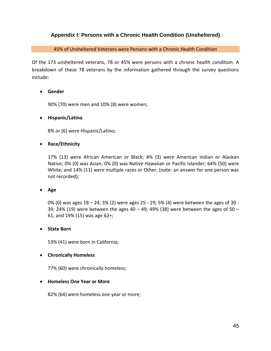# **Appendix I: Persons with a Chronic Health Condition (Unsheltered)**

45% of Unsheltered Veterans were Persons with a Chronic Health Condition

Of the 173 unsheltered veterans, 78 or 45% were persons with a chronic health condition. A breakdown of these 78 veterans by the information gathered through the survey questions include:

## **Gender**

90% (70) were men and 10% (8) were women;

## **Hispanic/Latino**

8% or (6) were Hispanic/Latino;

## **Race/Ethnicity**

17% (13) were African American or Black; 4% (3) were American Indian or Alaskan Native; 0% (0) was Asian; 0% (0) was Native Hawaiian or Pacific Islander; 64% (50) were White; and 14% (11) were multiple races or Other; (note: an answer for one person was not recorded);

#### **Age**

0% (0) was ages 18 – 24; 3% (2) were ages 25 - 29; 5% (4) were between the ages of 30 - 39; 24% (19) were between the ages  $40 - 49$ ; 49% (38) were between the ages of  $50 -$ 61; and 19% (15) was age 62+;

#### **State Born**

53% (41) were born in California;

#### **Chronically Homeless**

77% (60) were chronically homeless;

#### **Homeless One Year or More**

82% (64) were homeless one year or more;